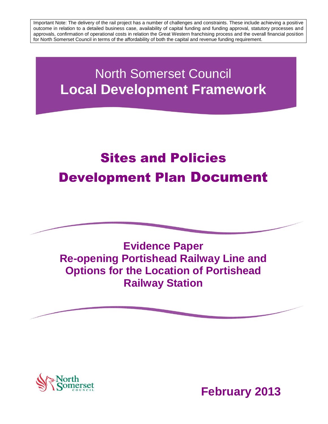North Somerset Council **Local Development Framework**

# Sites and Policies Development Plan Document

**Evidence Paper Re-opening Portishead Railway Line and Options for the Location of Portishead Railway Station**



**February 2013**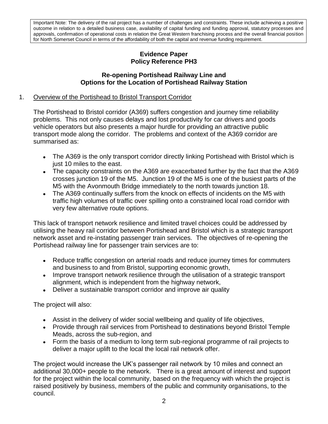## **Evidence Paper Policy Reference PH3**

### **Re-opening Portishead Railway Line and Options for the Location of Portishead Railway Station**

## 1. Overview of the Portishead to Bristol Transport Corridor

The Portishead to Bristol corridor (A369) suffers congestion and journey time reliability problems. This not only causes delays and lost productivity for car drivers and goods vehicle operators but also presents a major hurdle for providing an attractive public transport mode along the corridor. The problems and context of the A369 corridor are summarised as:

- The A369 is the only transport corridor directly linking Portishead with Bristol which is just 10 miles to the east.
- The capacity constraints on the A369 are exacerbated further by the fact that the A369 crosses junction 19 of the M5. Junction 19 of the M5 is one of the busiest parts of the M5 with the Avonmouth Bridge immediately to the north towards junction 18.
- The A369 continually suffers from the knock on effects of incidents on the M5 with traffic high volumes of traffic over spilling onto a constrained local road corridor with very few alternative route options.

This lack of transport network resilience and limited travel choices could be addressed by utilising the heavy rail corridor between Portishead and Bristol which is a strategic transport network asset and re-instating passenger train services. The objectives of re-opening the Portishead railway line for passenger train services are to:

- Reduce traffic congestion on arterial roads and reduce journey times for commuters and business to and from Bristol, supporting economic growth,
- Improve transport network resilience through the utilisation of a strategic transport alignment, which is independent from the highway network,
- Deliver a sustainable transport corridor and improve air quality  $\bullet$

The project will also:

- Assist in the delivery of wider social wellbeing and quality of life objectives,
- Provide through rail services from Portishead to destinations beyond Bristol Temple Meads, across the sub-region, and
- Form the basis of a medium to long term sub-regional programme of rail projects to deliver a major uplift to the local the local rail network offer.

The project would increase the UK's passenger rail network by 10 miles and connect an additional 30,000+ people to the network. There is a great amount of interest and support for the project within the local community, based on the frequency with which the project is raised positively by business, members of the public and community organisations, to the council.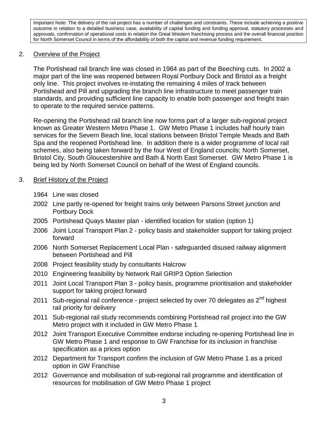## 2. Overview of the Project

The Portishead rail branch line was closed in 1964 as part of the Beeching cuts. In 2002 a major part of the line was reopened between Royal Portbury Dock and Bristol as a freight only line. This project involves re-instating the remaining 4 miles of track between Portishead and Pill and upgrading the branch line infrastructure to meet passenger train standards, and providing sufficient line capacity to enable both passenger and freight train to operate to the required service patterns.

Re-opening the Portishead rail branch line now forms part of a larger sub-regional project known as Greater Western Metro Phase 1. GW Metro Phase 1 includes half hourly train services for the Severn Beach line, local stations between Bristol Temple Meads and Bath Spa and the reopened Portishead line. In addition there is a wider programme of local rail schemes, also being taken forward by the four West of England councils; North Somerset, Bristol City, South Gloucestershire and Bath & North East Somerset. GW Metro Phase 1 is being led by North Somerset Council on behalf of the West of England councils.

### 3. Brief History of the Project

- 1964 Line was closed
- 2002 Line partly re-opened for freight trains only between Parsons Street junction and Portbury Dock
- 2005 Portishead Quays Master plan identified location for station (option 1)
- 2006 Joint Local Transport Plan 2 policy basis and stakeholder support for taking project forward
- 2006 North Somerset Replacement Local Plan safeguarded disused railway alignment between Portishead and Pill
- 2008 Project feasibility study by consultants Halcrow
- 2010 Engineering feasibility by Network Rail GRIP3 Option Selection
- 2011 Joint Local Transport Plan 3 policy basis, programme prioritisation and stakeholder support for taking project forward
- 2011 Sub-regional rail conference project selected by over 70 delegates as  $2^{nd}$  highest rail priority for delivery
- 2011 Sub-regional rail study recommends combining Portishead rail project into the GW Metro project with it included in GW Metro Phase 1
- 2012 Joint Transport Executive Committee endorse including re-opening Portishead line in GW Metro Phase 1 and response to GW Franchise for its inclusion in franchise specification as a prices option
- 2012 Department for Transport confirm the inclusion of GW Metro Phase 1 as a priced option in GW Franchise
- 2012 Governance and mobilisation of sub-regional rail programme and identification of resources for mobilisation of GW Metro Phase 1 project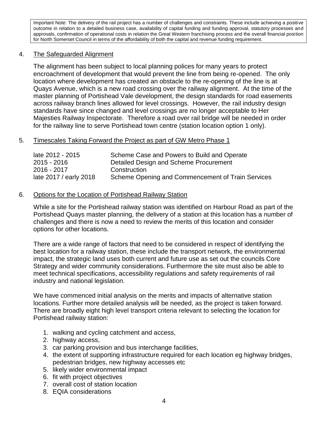## 4. The Safeguarded Alignment

The alignment has been subject to local planning polices for many years to protect encroachment of development that would prevent the line from being re-opened. The only location where development has created an obstacle to the re-opening of the line is at Quays Avenue, which is a new road crossing over the railway alignment. At the time of the master planning of Portishead Vale development, the design standards for road easements across railway branch lines allowed for level crossings. However, the rail industry design standards have since changed and level crossings are no longer acceptable to Her Majesties Railway Inspectorate. Therefore a road over rail bridge will be needed in order for the railway line to serve Portishead town centre (station location option 1 only).

## 5. Timescales Taking Forward the Project as part of GW Metro Phase 1

| Scheme Case and Powers to Build and Operate       |
|---------------------------------------------------|
| Detailed Design and Scheme Procurement            |
| Construction                                      |
| Scheme Opening and Commencement of Train Services |
|                                                   |

#### 6. Options for the Location of Portishead Railway Station

While a site for the Portishead railway station was identified on Harbour Road as part of the Portishead Quays master planning, the delivery of a station at this location has a number of challenges and there is now a need to review the merits of this location and consider options for other locations.

There are a wide range of factors that need to be considered in respect of identifying the best location for a railway station, these include the transport network, the environmental impact, the strategic land uses both current and future use as set out the councils Core Strategy and wider community considerations. Furthermore the site must also be able to meet technical specifications, accessibility regulations and safety requirements of rail industry and national legislation.

We have commenced initial analysis on the merits and impacts of alternative station locations. Further more detailed analysis will be needed, as the project is taken forward. There are broadly eight high level transport criteria relevant to selecting the location for Portishead railway station:

- 1. walking and cycling catchment and access,
- 2. highway access,
- 3. car parking provision and bus interchange facilities,
- 4. the extent of supporting infrastructure required for each location eg highway bridges, pedestrian bridges, new highway accesses etc
- 5. likely wider environmental impact
- 6. fit with project objectives
- 7. overall cost of station location
- 8. EQIA considerations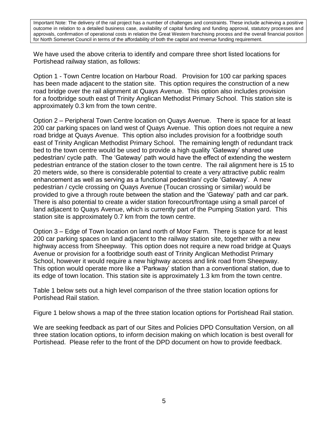We have used the above criteria to identify and compare three short listed locations for Portishead railway station, as follows:

Option 1 - Town Centre location on Harbour Road. Provision for 100 car parking spaces has been made adjacent to the station site. This option requires the construction of a new road bridge over the rail alignment at Quays Avenue. This option also includes provision for a footbridge south east of Trinity Anglican Methodist Primary School. This station site is approximately 0.3 km from the town centre.

Option 2 – Peripheral Town Centre location on Quays Avenue. There is space for at least 200 car parking spaces on land west of Quays Avenue. This option does not require a new road bridge at Quays Avenue. This option also includes provision for a footbridge south east of Trinity Anglican Methodist Primary School. The remaining length of redundant track bed to the town centre would be used to provide a high quality 'Gateway' shared use pedestrian/ cycle path. The 'Gateway' path would have the effect of extending the western pedestrian entrance of the station closer to the town centre. The rail alignment here is 15 to 20 meters wide, so there is considerable potential to create a very attractive public realm enhancement as well as serving as a functional pedestrian/ cycle 'Gateway'. A new pedestrian / cycle crossing on Quays Avenue (Toucan crossing or similar) would be provided to give a through route between the station and the 'Gateway' path and car park. There is also potential to create a wider station forecourt/frontage using a small parcel of land adjacent to Quays Avenue, which is currently part of the Pumping Station yard. This station site is approximately 0.7 km from the town centre.

Option 3 – Edge of Town location on land north of Moor Farm. There is space for at least 200 car parking spaces on land adjacent to the railway station site, together with a new highway access from Sheepway. This option does not require a new road bridge at Quays Avenue or provision for a footbridge south east of Trinity Anglican Methodist Primary School, however it would require a new highway access and link road from Sheepway. This option would operate more like a 'Parkway' station than a conventional station, due to its edge of town location. This station site is approximately 1.3 km from the town centre.

Table 1 below sets out a high level comparison of the three station location options for Portishead Rail station.

Figure 1 below shows a map of the three station location options for Portishead Rail station.

We are seeking feedback as part of our Sites and Policies DPD Consultation Version, on all three station location options, to inform decision making on which location is best overall for Portishead. Please refer to the front of the DPD document on how to provide feedback.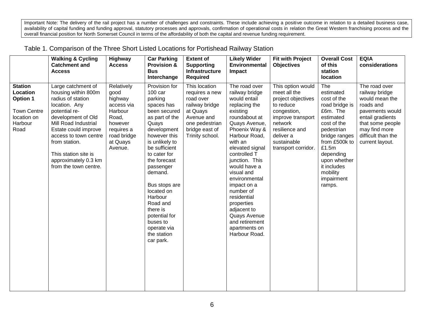|  | Table 1. Comparison of the Three Short Listed Locations for Portishead Railway Station |  |
|--|----------------------------------------------------------------------------------------|--|
|--|----------------------------------------------------------------------------------------|--|

|                                                                                                | <b>Walking &amp; Cycling</b><br><b>Catchment and</b><br><b>Access</b>                                                                                                                                                                                                                     | Highway<br><b>Access</b>                                                                                                       | <b>Car Parking</b><br><b>Provision &amp;</b><br><b>Bus</b><br>Interchange                                                                                                                                                                                                                                                                                          | <b>Extent of</b><br><b>Supporting</b><br>Infrastructure<br><b>Required</b>                                                                      | <b>Likely Wider</b><br><b>Environmental</b><br>Impact                                                                                                                                                                                                                                                                                                                                                       | <b>Fit with Project</b><br><b>Objectives</b>                                                                                                                                             | <b>Overall Cost</b><br>of this<br>station<br><b>location</b>                                                                                                                                                                       | <b>EQIA</b><br>considerations                                                                                                                                                       |
|------------------------------------------------------------------------------------------------|-------------------------------------------------------------------------------------------------------------------------------------------------------------------------------------------------------------------------------------------------------------------------------------------|--------------------------------------------------------------------------------------------------------------------------------|--------------------------------------------------------------------------------------------------------------------------------------------------------------------------------------------------------------------------------------------------------------------------------------------------------------------------------------------------------------------|-------------------------------------------------------------------------------------------------------------------------------------------------|-------------------------------------------------------------------------------------------------------------------------------------------------------------------------------------------------------------------------------------------------------------------------------------------------------------------------------------------------------------------------------------------------------------|------------------------------------------------------------------------------------------------------------------------------------------------------------------------------------------|------------------------------------------------------------------------------------------------------------------------------------------------------------------------------------------------------------------------------------|-------------------------------------------------------------------------------------------------------------------------------------------------------------------------------------|
| <b>Station</b><br>Location<br>Option 1<br><b>Town Centre</b><br>location on<br>Harbour<br>Road | Large catchment of<br>housing within 800m<br>radius of station<br>location. Any<br>potential re-<br>development of Old<br>Mill Road Industrial<br>Estate could improve<br>access to town centre<br>from station.<br>This station site is<br>approximately 0.3 km<br>from the town centre. | Relatively<br>good<br>highway<br>access via<br>Harbour<br>Road,<br>however<br>requires a<br>road bridge<br>at Quays<br>Avenue. | Provision for<br>$100$ car<br>parking<br>spaces has<br>been secured<br>as part of the<br>Quays<br>development<br>however this<br>is unlikely to<br>be sufficient<br>to cater for<br>the forecast<br>passenger<br>demand.<br>Bus stops are<br>located on<br>Harbour<br>Road and<br>there is<br>potential for<br>buses to<br>operate via<br>the station<br>car park. | This location<br>requires a new<br>road over<br>railway bridge<br>at Quays<br>Avenue and<br>one pedestrian<br>bridge east of<br>Trinity school. | The road over<br>railway bridge<br>would entail<br>replacing the<br>existing<br>roundabout at<br>Quays Avenue,<br>Phoenix Way &<br>Harbour Road,<br>with an<br>elevated signal<br>controlled T<br>junction. This<br>would have a<br>visual and<br>environmental<br>impact on a<br>number of<br>residential<br>properties<br>adjacent to<br>Quays Avenue<br>and retirement<br>apartments on<br>Harbour Road. | This option would<br>meet all the<br>project objectives<br>to reduce<br>congestion,<br>improve transport<br>network<br>resilience and<br>deliver a<br>sustainable<br>transport corridor. | The<br>estimated<br>cost of the<br>road bridge is<br>£6m. The<br>estimated<br>cost of the<br>pedestrian<br>bridge ranges<br>from £500k to<br>£1.5m<br>depending<br>upon whether<br>it includes<br>mobility<br>impairment<br>ramps. | The road over<br>railway bridge<br>would mean the<br>roads and<br>pavements would<br>entail gradients<br>that some people<br>may find more<br>difficult than the<br>current layout. |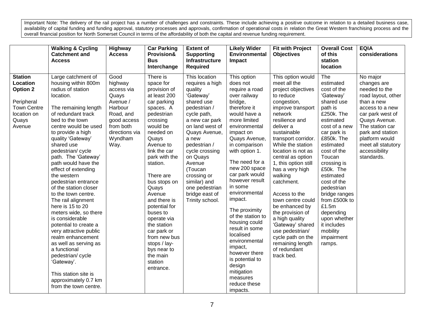|                                                                                                                     | <b>Walking &amp; Cycling</b><br><b>Catchment and</b><br><b>Access</b>                                                                                                                                                                                                                                                                                                                                                                                                                                                                                                                                                                                                                                                         | Highway<br><b>Access</b>                                                                                                                    | <b>Car Parking</b><br>Provision&<br><b>Bus</b><br>Interchange                                                                                                                                                                                                                                                                                                                                                                        | <b>Extent of</b><br><b>Supporting</b><br>Infrastructure<br><b>Required</b>                                                                                                                                                                                                                                                    | <b>Likely Wider</b><br>Environmental<br>Impact                                                                                                                                                                                                                                                                                                                                                                                                                                                                                             | <b>Fit with Project</b><br><b>Objectives</b>                                                                                                                                                                                                                                                                                                                                                                                                                                                                                             | <b>Overall Cost</b><br>of this<br>station<br>location                                                                                                                                                                                                                                                                                                                                 | <b>EQIA</b><br>considerations                                                                                                                                                                                                                      |
|---------------------------------------------------------------------------------------------------------------------|-------------------------------------------------------------------------------------------------------------------------------------------------------------------------------------------------------------------------------------------------------------------------------------------------------------------------------------------------------------------------------------------------------------------------------------------------------------------------------------------------------------------------------------------------------------------------------------------------------------------------------------------------------------------------------------------------------------------------------|---------------------------------------------------------------------------------------------------------------------------------------------|--------------------------------------------------------------------------------------------------------------------------------------------------------------------------------------------------------------------------------------------------------------------------------------------------------------------------------------------------------------------------------------------------------------------------------------|-------------------------------------------------------------------------------------------------------------------------------------------------------------------------------------------------------------------------------------------------------------------------------------------------------------------------------|--------------------------------------------------------------------------------------------------------------------------------------------------------------------------------------------------------------------------------------------------------------------------------------------------------------------------------------------------------------------------------------------------------------------------------------------------------------------------------------------------------------------------------------------|------------------------------------------------------------------------------------------------------------------------------------------------------------------------------------------------------------------------------------------------------------------------------------------------------------------------------------------------------------------------------------------------------------------------------------------------------------------------------------------------------------------------------------------|---------------------------------------------------------------------------------------------------------------------------------------------------------------------------------------------------------------------------------------------------------------------------------------------------------------------------------------------------------------------------------------|----------------------------------------------------------------------------------------------------------------------------------------------------------------------------------------------------------------------------------------------------|
| <b>Station</b><br>Location<br><b>Option 2</b><br>Peripheral<br><b>Town Centre</b><br>location on<br>Quays<br>Avenue | Large catchment of<br>housing within 800m<br>radius of station<br>location.<br>The remaining length<br>of redundant track<br>bed to the town<br>centre would be used<br>to provide a high<br>quality 'Gateway'<br>shared use<br>pedestrian/cycle<br>path. The 'Gateway'<br>path would have the<br>effect of extending<br>the western<br>pedestrian entrance<br>of the station closer<br>to the town centre.<br>The rail alignment<br>here is 15 to 20<br>meters wide, so there<br>is considerable<br>potential to create a<br>very attractive public<br>realm enhancement<br>as well as serving as<br>a functional<br>pedestrian/cycle<br>'Gateway'.<br>This station site is<br>approximately 0.7 km<br>from the town centre. | Good<br>highway<br>access via<br>Quays<br>Avenue /<br>Harbour<br>Road, and<br>good access<br>from both<br>directions via<br>Wyndham<br>Way. | There is<br>space for<br>provision of<br>at least 200<br>car parking<br>spaces. A<br>pedestrian<br>crossing<br>would be<br>needed on<br>Quays<br>Avenue to<br>link the car<br>park with the<br>station.<br>There are<br>bus stops on<br>Quays<br>Avenue<br>and there is<br>potential for<br>buses to<br>operate via<br>the station<br>car park or<br>from new bus<br>stops / lay-<br>bys near to<br>the main<br>station<br>entrance. | This location<br>requires a high<br>quality<br>'Gateway'<br>shared use<br>pedestrian /<br>cycle path,<br>a new car park<br>on land west of<br>Quays Avenue,<br>a new<br>pedestrian /<br>cycle crossing<br>on Quays<br>Avenue<br>(Toucan<br>crossing or<br>similar) and<br>one pedestrian<br>bridge east of<br>Trinity school. | This option<br>does not<br>require a road<br>over railway<br>bridge,<br>therefore it<br>would have a<br>more limited<br>environmental<br>impact on<br>Quays Avenue,<br>in comparison<br>with option 1.<br>The need for a<br>new 200 space<br>car park would<br>however result<br>in some<br>environmental<br>impact.<br>The proximity<br>of the station to<br>housing could<br>result in some<br>localised<br>environmental<br>impact,<br>however there<br>is potential to<br>design<br>mitigation<br>measures<br>reduce these<br>impacts. | This option would<br>meet all the<br>project objectives<br>to reduce<br>congestion,<br>improve transport<br>network<br>resilience and<br>deliver a<br>sustainable<br>transport corridor.<br>While the station<br>location is not as<br>central as option<br>1, this option still<br>has a very high<br>walking<br>catchment.<br>Access to the<br>town centre could<br>be enhanced by<br>the provision of<br>a high quality<br>'Gateway' shared<br>use pedestrian/<br>cycle path on the<br>remaining length<br>of redundant<br>track bed. | The<br>estimated<br>cost of the<br>'Gateway'<br>shared use<br>path is<br>£250k. The<br>estimated<br>cost of a new<br>car park is<br>£850k. The<br>estimated<br>cost of the<br>Toucan<br>crossing is<br>£50k. The<br>estimated<br>cost of the<br>pedestrian<br>bridge ranges<br>from £500k to<br>£1.5m<br>depending<br>upon whether<br>it includes<br>mobility<br>impairment<br>ramps. | No major<br>changes are<br>needed to the<br>road layout, other<br>than a new<br>access to a new<br>car park west of<br>Quays Avenue.<br>The station car<br>park and station<br>platform would<br>meet all statutory<br>accessibility<br>standards. |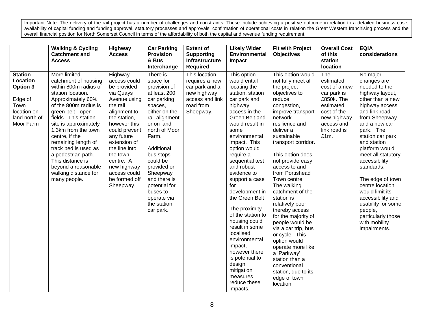|                                                                                                        | <b>Walking &amp; Cycling</b><br><b>Catchment and</b><br><b>Access</b>                                                                                                                                                                                                                                                                                                                                   | Highway<br><b>Access</b>                                                                                                                                                                                                                                                              | <b>Car Parking</b><br><b>Provision</b><br>& Bus<br>Interchange                                                                                                                                                                                                                                                       | <b>Extent of</b><br><b>Supporting</b><br>Infrastructure<br><b>Required</b>                                    | <b>Likely Wider</b><br>Environmental<br>Impact                                                                                                                                                                                                                                                                                                                                                                                                                                                                                                            | <b>Fit with Project</b><br><b>Objectives</b>                                                                                                                                                                                                                                                                                                                                                                                                                                                                                                                                                                          | <b>Overall Cost</b><br>of this<br>station<br>location                                                                                           | <b>EQIA</b><br>considerations                                                                                                                                                                                                                                                                                                                                                                                                                       |
|--------------------------------------------------------------------------------------------------------|---------------------------------------------------------------------------------------------------------------------------------------------------------------------------------------------------------------------------------------------------------------------------------------------------------------------------------------------------------------------------------------------------------|---------------------------------------------------------------------------------------------------------------------------------------------------------------------------------------------------------------------------------------------------------------------------------------|----------------------------------------------------------------------------------------------------------------------------------------------------------------------------------------------------------------------------------------------------------------------------------------------------------------------|---------------------------------------------------------------------------------------------------------------|-----------------------------------------------------------------------------------------------------------------------------------------------------------------------------------------------------------------------------------------------------------------------------------------------------------------------------------------------------------------------------------------------------------------------------------------------------------------------------------------------------------------------------------------------------------|-----------------------------------------------------------------------------------------------------------------------------------------------------------------------------------------------------------------------------------------------------------------------------------------------------------------------------------------------------------------------------------------------------------------------------------------------------------------------------------------------------------------------------------------------------------------------------------------------------------------------|-------------------------------------------------------------------------------------------------------------------------------------------------|-----------------------------------------------------------------------------------------------------------------------------------------------------------------------------------------------------------------------------------------------------------------------------------------------------------------------------------------------------------------------------------------------------------------------------------------------------|
| <b>Station</b><br>Location<br>Option 3<br>Edge of<br>Town<br>location on<br>land north of<br>Moor Farm | More limited<br>catchment of housing<br>within 800m radius of<br>station location.<br>Approximately 60%<br>of the 800m radius is<br>green belt - open<br>fields. This station<br>site is approximately<br>1.3km from the town<br>centre, if the<br>remaining length of<br>track bed is used as<br>a pedestrian path.<br>This distance is<br>beyond a reasonable<br>walking distance for<br>many people. | Highway<br>access could<br>be provided<br>via Quays<br>Avenue using<br>the rail<br>alignment to<br>the station,<br>however this<br>could prevent<br>any future<br>extension of<br>the line into<br>the town<br>centre. A<br>new highway<br>access could<br>be formed off<br>Sheepway. | There is<br>space for<br>provision of<br>at least 200<br>car parking<br>spaces,<br>either on the<br>rail alignment<br>or on land<br>north of Moor<br>Farm.<br>Additional<br>bus stops<br>could be<br>provided on<br>Sheepway<br>and there is<br>potential for<br>buses to<br>operate via<br>the station<br>car park. | This location<br>requires a new<br>car park and a<br>new highway<br>access and link<br>road from<br>Sheepway. | This option<br>would entail<br>locating the<br>station, station<br>car park and<br>highway<br>access in the<br>Green Belt and<br>would result in<br>some<br>environmental<br>impact. This<br>option would<br>require a<br>sequential test<br>and robust<br>evidence to<br>support a case<br>for<br>development in<br>the Green Belt<br>The proximity<br>of the station to<br>housing could<br>result in some<br>localised<br>environmental<br>impact,<br>however there<br>is potential to<br>design<br>mitigation<br>measures<br>reduce these<br>impacts. | This option would<br>not fully meet all<br>the project<br>objectives to<br>reduce<br>congestion,<br>improve transport<br>network<br>resilience and<br>deliver a<br>sustainable<br>transport corridor.<br>This option does<br>not provide easy<br>access to and<br>from Portishead<br>Town centre.<br>The walking<br>catchment of the<br>station is<br>relatively poor,<br>thereby access<br>for the majority of<br>people would be<br>via a car trip, bus<br>or cycle. This<br>option would<br>operate more like<br>a 'Parkway'<br>station than a<br>conventional<br>station, due to its<br>edge of town<br>location. | The<br>estimated<br>cost of a new<br>car park is<br>£850k. The<br>estimated<br>cost of the<br>new highway<br>access and<br>link road is<br>£1m. | No major<br>changes are<br>needed to the<br>highway layout,<br>other than a new<br>highway access<br>and link road<br>from Sheepway<br>and a new car<br>park. The<br>station car park<br>and station<br>platform would<br>meet all statutory<br>accessibility.<br>standards.<br>The edge of town<br>centre location<br>would limit its<br>accessibility and<br>usability for some<br>people,<br>particularly those<br>with mobility<br>impairments. |